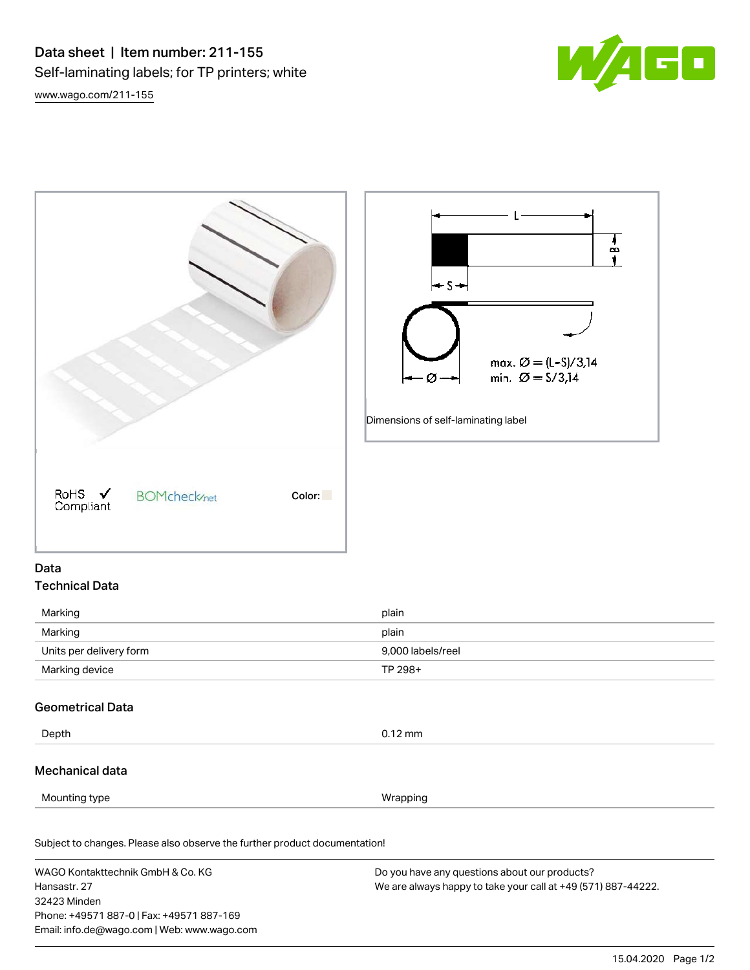[www.wago.com/211-155](http://www.wago.com/211-155)



 $B +$ ŧ



# Data Technical Data

| Marking                 | plain             |
|-------------------------|-------------------|
| Marking                 | plain             |
| Units per delivery form | 9.000 labels/reel |
| Marking device          | TP 298+           |

# Geometrical Data

Depth 0.12 mm

### Mechanical data

Mounting type **Wrapping** 

Subject to changes. Please also observe the further product documentation! Material Data

WAGO Kontakttechnik GmbH & Co. KG Hansastr. 27 32423 Minden Phone: +49571 887-0 | Fax: +49571 887-169 Email: info.de@wago.com | Web: www.wago.com Do you have any questions about our products? We are always happy to take your call at +49 (571) 887-44222.